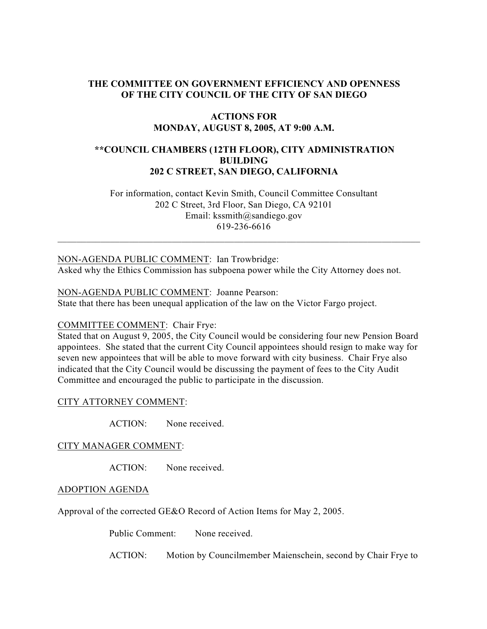# **THE COMMITTEE ON GOVERNMENT EFFICIENCY AND OPENNESS OF THE CITY COUNCIL OF THE CITY OF SAN DIEGO**

# **ACTIONS FOR MONDAY, AUGUST 8, 2005, AT 9:00 A.M.**

# **\*\*COUNCIL CHAMBERS (12TH FLOOR), CITY ADMINISTRATION BUILDING 202 C STREET, SAN DIEGO, CALIFORNIA**

 For information, contact Kevin Smith, Council Committee Consultant 202 C Street, 3rd Floor, San Diego, CA 92101 Email: kssmith@sandiego.gov 619-236-6616

 $\_$  , and the set of the set of the set of the set of the set of the set of the set of the set of the set of the set of the set of the set of the set of the set of the set of the set of the set of the set of the set of th

### NON-AGENDA PUBLIC COMMENT: Ian Trowbridge:

Asked why the Ethics Commission has subpoena power while the City Attorney does not.

### NON-AGENDA PUBLIC COMMENT: Joanne Pearson:

State that there has been unequal application of the law on the Victor Fargo project.

# COMMITTEE COMMENT: Chair Frye:

Stated that on August 9, 2005, the City Council would be considering four new Pension Board appointees. She stated that the current City Council appointees should resign to make way for seven new appointees that will be able to move forward with city business. Chair Frye also indicated that the City Council would be discussing the payment of fees to the City Audit Committee and encouraged the public to participate in the discussion.

### CITY ATTORNEY COMMENT:

ACTION: None received.

#### CITY MANAGER COMMENT:

ACTION: None received.

#### ADOPTION AGENDA

Approval of the corrected GE&O Record of Action Items for May 2, 2005.

Public Comment: None received.

ACTION: Motion by Councilmember Maienschein, second by Chair Frye to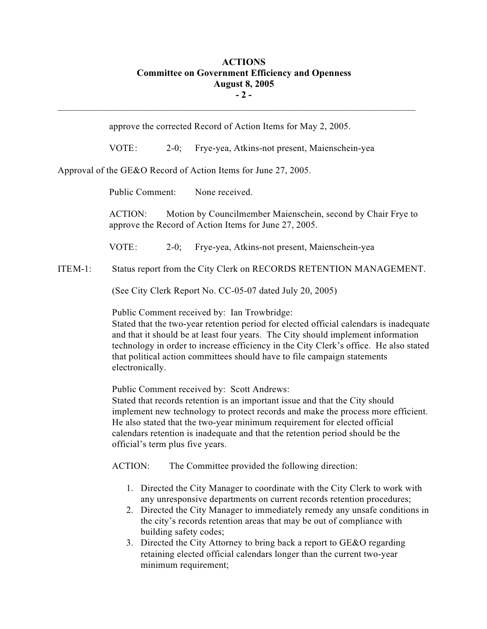# **ACTIONS Committee on Government Efficiency and Openness August 8, 2005 - 2 -**

approve the corrected Record of Action Items for May 2, 2005.

 $\mathcal{L}_\text{max}$ 

VOTE: 2-0; Frye-yea, Atkins-not present, Maienschein-yea

Approval of the GE&O Record of Action Items for June 27, 2005.

Public Comment: None received.

 ACTION: Motion by Councilmember Maienschein, second by Chair Frye to approve the Record of Action Items for June 27, 2005.

VOTE: 2-0; Frye-yea, Atkins-not present, Maienschein-yea

ITEM-1: Status report from the City Clerk on RECORDS RETENTION MANAGEMENT.

(See City Clerk Report No. CC-05-07 dated July 20, 2005)

Public Comment received by: Ian Trowbridge:

Stated that the two-year retention period for elected official calendars is inadequate and that it should be at least four years. The City should implement information technology in order to increase efficiency in the City Clerk's office. He also stated that political action committees should have to file campaign statements electronically.

Public Comment received by: Scott Andrews:

Stated that records retention is an important issue and that the City should implement new technology to protect records and make the process more efficient. He also stated that the two-year minimum requirement for elected official calendars retention is inadequate and that the retention period should be the official's term plus five years.

ACTION: The Committee provided the following direction:

- 1. Directed the City Manager to coordinate with the City Clerk to work with any unresponsive departments on current records retention procedures;
- 2. Directed the City Manager to immediately remedy any unsafe conditions in the city's records retention areas that may be out of compliance with building safety codes;
- 3. Directed the City Attorney to bring back a report to GE&O regarding retaining elected official calendars longer than the current two-year minimum requirement;